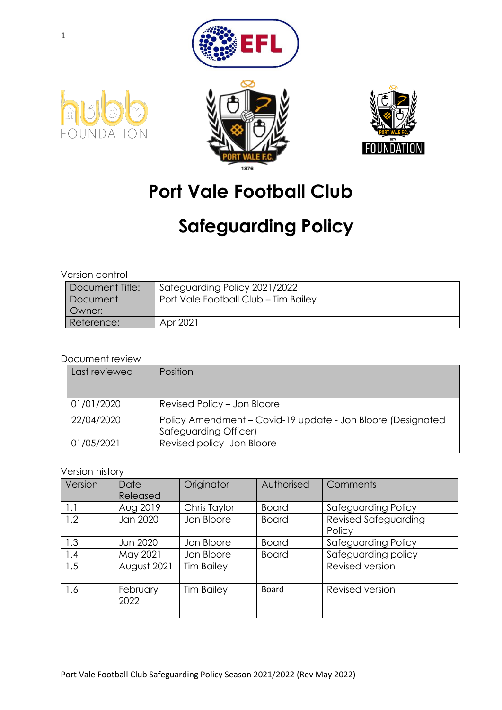







# **Port Vale Football Club**

# **Safeguarding Policy**

Version control

| Document Title: | Safeguarding Policy 2021/2022        |
|-----------------|--------------------------------------|
| Document        | Port Vale Football Club - Tim Bailey |
| Owner:          |                                      |
| Reference:      | Apr 2021                             |

#### Document review

| Last reviewed | Position                                                                             |
|---------------|--------------------------------------------------------------------------------------|
|               |                                                                                      |
| 01/01/2020    | Revised Policy - Jon Bloore                                                          |
| 22/04/2020    | Policy Amendment – Covid-19 update - Jon Bloore (Designated<br>Safeguarding Officer) |
| 01/05/2021    | Revised policy - Jon Bloore                                                          |

#### Version history

| Version | Date<br>Released | Originator        | Authorised   | Comments                              |
|---------|------------------|-------------------|--------------|---------------------------------------|
| 1.1     | Aug 2019         | Chris Taylor      | <b>Board</b> | Safeguarding Policy                   |
| 1.2     | Jan 2020         | Jon Bloore        | <b>Board</b> | <b>Revised Safeguarding</b><br>Policy |
| 1.3     | Jun 2020         | Jon Bloore        | <b>Board</b> | Safeguarding Policy                   |
| 1.4     | May 2021         | Jon Bloore        | <b>Board</b> | Safeguarding policy                   |
| 1.5     | August 2021      | <b>Tim Bailey</b> |              | Revised version                       |
| 1.6     | February<br>2022 | <b>Tim Bailey</b> | <b>Board</b> | Revised version                       |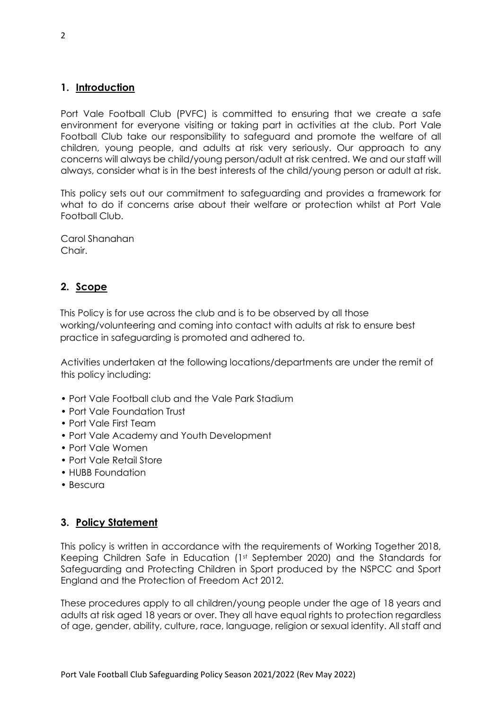#### **1. Introduction**

Port Vale Football Club (PVFC) is committed to ensuring that we create a safe environment for everyone visiting or taking part in activities at the club. Port Vale Football Club take our responsibility to safeguard and promote the welfare of all children, young people, and adults at risk very seriously. Our approach to any concerns will always be child/young person/adult at risk centred. We and our staff will always, consider what is in the best interests of the child/young person or adult at risk.

This policy sets out our commitment to safeguarding and provides a framework for what to do if concerns arise about their welfare or protection whilst at Port Vale Football Club.

Carol Shanahan Chair.

#### **2. Scope**

This Policy is for use across the club and is to be observed by all those working/volunteering and coming into contact with adults at risk to ensure best practice in safeguarding is promoted and adhered to.

Activities undertaken at the following locations/departments are under the remit of this policy including:

- Port Vale Football club and the Vale Park Stadium
- Port Vale Foundation Trust
- Port Vale First Team
- Port Vale Academy and Youth Development
- Port Vale Women
- Port Vale Retail Store
- HUBB Foundation
- Bescura

#### **3. Policy Statement**

This policy is written in accordance with the requirements of Working Together 2018, Keeping Children Safe in Education (1st September 2020) and the Standards for Safeguarding and Protecting Children in Sport produced by the NSPCC and Sport England and the Protection of Freedom Act 2012.

These procedures apply to all children/young people under the age of 18 years and adults at risk aged 18 years or over. They all have equal rights to protection regardless of age, gender, ability, culture, race, language, religion or sexual identity. All staff and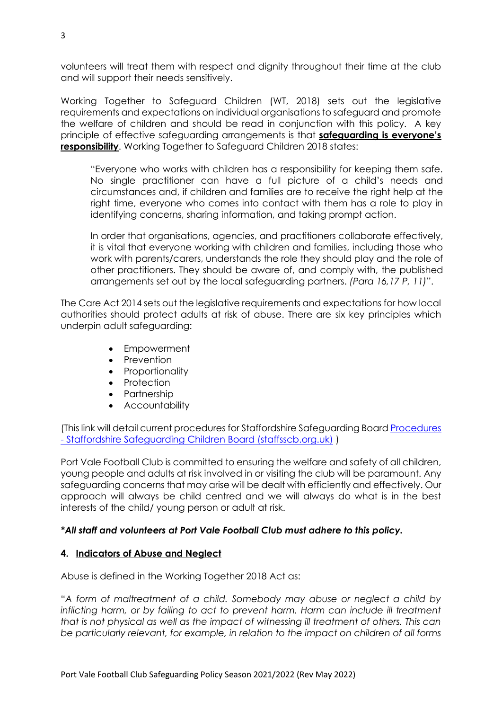volunteers will treat them with respect and dignity throughout their time at the club and will support their needs sensitively.

Working Together to Safeguard Children (WT, 2018) sets out the legislative requirements and expectations on individual organisations to safeguard and promote the welfare of children and should be read in conjunction with this policy. A key principle of effective safeguarding arrangements is that **safeguarding is everyone's responsibility**. Working Together to Safeguard Children 2018 states:

"Everyone who works with children has a responsibility for keeping them safe. No single practitioner can have a full picture of a child's needs and circumstances and, if children and families are to receive the right help at the right time, everyone who comes into contact with them has a role to play in identifying concerns, sharing information, and taking prompt action.

In order that organisations, agencies, and practitioners collaborate effectively, it is vital that everyone working with children and families, including those who work with parents/carers, understands the role they should play and the role of other practitioners. They should be aware of, and comply with, the published arrangements set out by the local safeguarding partners. *(Para 16,17 P, 11)*".

The Care Act 2014 sets out the legislative requirements and expectations for how local authorities should protect adults at risk of abuse. There are six key principles which underpin adult safeguarding:

- Empowerment
- Prevention
- Proportionality
- Protection
- Partnership
- Accountability

(This link will detail current procedures for Staffordshire Safeguarding Board [Procedures](https://www.staffsscb.org.uk/procedures/)  - [Staffordshire Safeguarding Children Board \(staffsscb.org.uk\)](https://www.staffsscb.org.uk/procedures/) )

Port Vale Football Club is committed to ensuring the welfare and safety of all children, young people and adults at risk involved in or visiting the club will be paramount. Any safeguarding concerns that may arise will be dealt with efficiently and effectively. Our approach will always be child centred and we will always do what is in the best interests of the child/ young person or adult at risk.

#### *\*All staff and volunteers at Port Vale Football Club must adhere to this policy.*

#### **4. Indicators of Abuse and Neglect**

Abuse is defined in the Working Together 2018 Act as:

"*A form of maltreatment of a child. Somebody may abuse or neglect a child by inflicting harm, or by failing to act to prevent harm. Harm can include ill treatment that is not physical as well as the impact of witnessing ill treatment of others. This can be particularly relevant, for example, in relation to the impact on children of all forms*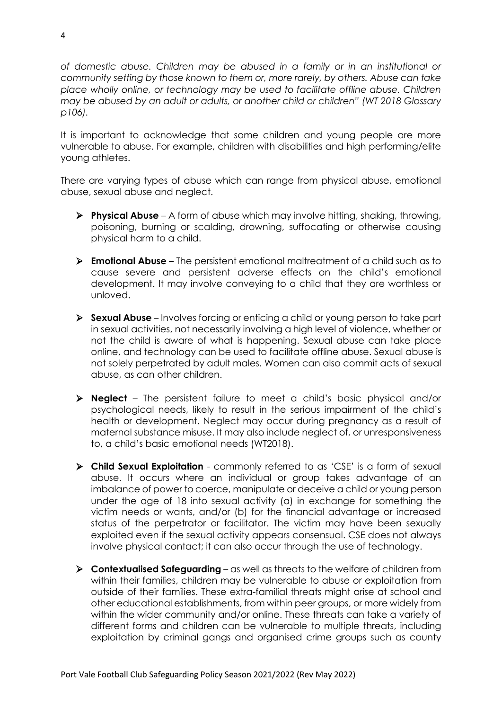*of domestic abuse. Children may be abused in a family or in an institutional or community setting by those known to them or, more rarely, by others. Abuse can take place wholly online, or technology may be used to facilitate offline abuse. Children may be abused by an adult or adults, or another child or children" (WT 2018 Glossary p106).*

It is important to acknowledge that some children and young people are more vulnerable to abuse. For example, children with disabilities and high performing/elite young athletes.

There are varying types of abuse which can range from physical abuse, emotional abuse, sexual abuse and neglect.

- ➢ **Physical Abuse** A form of abuse which may involve hitting, shaking, throwing, poisoning, burning or scalding, drowning, suffocating or otherwise causing physical harm to a child.
- ➢ **Emotional Abuse** The persistent emotional maltreatment of a child such as to cause severe and persistent adverse effects on the child's emotional development. It may involve conveying to a child that they are worthless or unloved.
- ➢ **Sexual Abuse**  Involves forcing or enticing a child or young person to take part in sexual activities, not necessarily involving a high level of violence, whether or not the child is aware of what is happening. Sexual abuse can take place online, and technology can be used to facilitate offline abuse. Sexual abuse is not solely perpetrated by adult males. Women can also commit acts of sexual abuse, as can other children.
- ➢ **Neglect**  The persistent failure to meet a child's basic physical and/or psychological needs, likely to result in the serious impairment of the child's health or development. Neglect may occur during pregnancy as a result of maternal substance misuse. It may also include neglect of, or unresponsiveness to, a child's basic emotional needs (WT2018).
- ➢ **Child Sexual Exploitation** commonly referred to as 'CSE' is a form of sexual abuse. It occurs where an individual or group takes advantage of an imbalance of power to coerce, manipulate or deceive a child or young person under the age of 18 into sexual activity (a) in exchange for something the victim needs or wants, and/or (b) for the financial advantage or increased status of the perpetrator or facilitator. The victim may have been sexually exploited even if the sexual activity appears consensual. CSE does not always involve physical contact; it can also occur through the use of technology.
- ➢ **Contextualised Safeguarding**  as well as threats to the welfare of children from within their families, children may be vulnerable to abuse or exploitation from outside of their families. These extra-familial threats might arise at school and other educational establishments, from within peer groups, or more widely from within the wider community and/or online. These threats can take a variety of different forms and children can be vulnerable to multiple threats, including exploitation by criminal gangs and organised crime groups such as county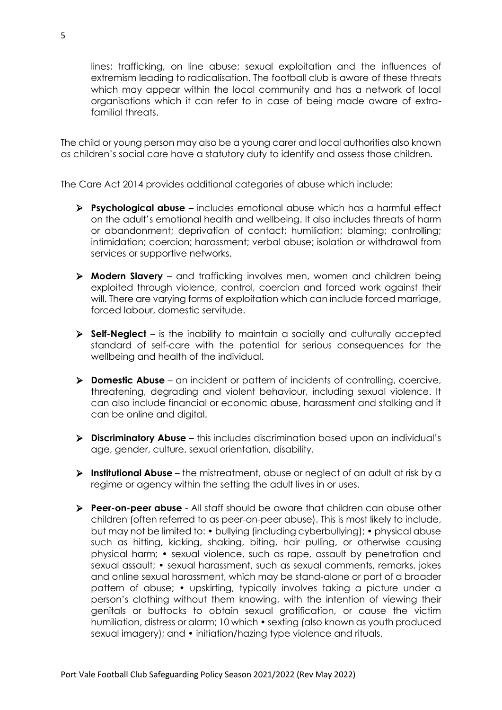lines; trafficking, on line abuse; sexual exploitation and the influences of extremism leading to radicalisation. The football club is aware of these threats which may appear within the local community and has a network of local organisations which it can refer to in case of being made aware of extrafamilial threats.

The child or young person may also be a young carer and local authorities also known as children's social care have a statutory duty to identify and assess those children.

The Care Act 2014 provides additional categories of abuse which include:

- ➢ **Psychological abuse**  includes emotional abuse which has a harmful effect on the adult's emotional health and wellbeing. It also includes threats of harm or abandonment; deprivation of contact; humiliation; blaming; controlling; intimidation; coercion; harassment; verbal abuse; isolation or withdrawal from services or supportive networks.
- ➢ **Modern Slavery**  and trafficking involves men, women and children being exploited through violence, control, coercion and forced work against their will. There are varying forms of exploitation which can include forced marriage, forced labour, domestic servitude.
- ➢ **Self-Neglect**  is the inability to maintain a socially and culturally accepted standard of self-care with the potential for serious consequences for the wellbeing and health of the individual.
- ➢ **Domestic Abuse** an incident or pattern of incidents of controlling, coercive, threatening, degrading and violent behaviour, including sexual violence. It can also include financial or economic abuse, harassment and stalking and it can be online and digital.
- ➢ **Discriminatory Abuse**  this includes discrimination based upon an individual's age, gender, culture, sexual orientation, disability.
- ➢ **Institutional Abuse**  the mistreatment, abuse or neglect of an adult at risk by a regime or agency within the setting the adult lives in or uses.
- ➢ **Peer-on-peer abuse**  All staff should be aware that children can abuse other children (often referred to as peer-on-peer abuse). This is most likely to include, but may not be limited to: • bullying (including cyberbullying); • physical abuse such as hitting, kicking, shaking, biting, hair pulling, or otherwise causing physical harm; • sexual violence, such as rape, assault by penetration and sexual assault; • sexual harassment, such as sexual comments, remarks, jokes and online sexual harassment, which may be stand-alone or part of a broader pattern of abuse; • upskirting, typically involves taking a picture under a person's clothing without them knowing, with the intention of viewing their genitals or buttocks to obtain sexual gratification, or cause the victim humiliation, distress or alarm; 10 which • sexting (also known as youth produced sexual imagery); and • initiation/hazing type violence and rituals.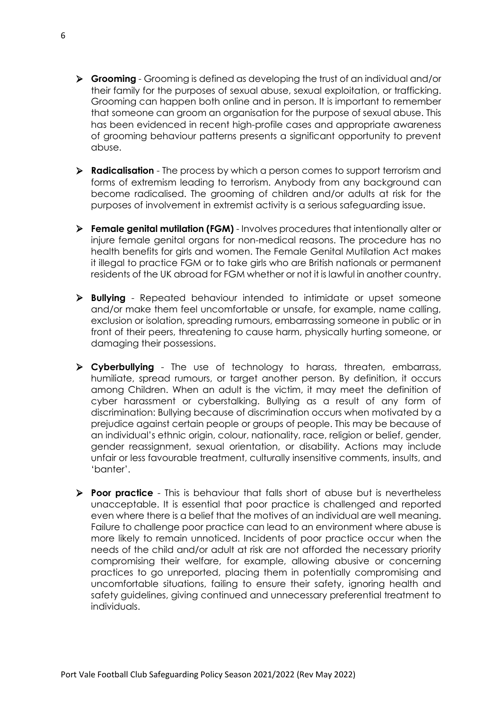- ➢ **Grooming** Grooming is defined as developing the trust of an individual and/or their family for the purposes of sexual abuse, sexual exploitation, or trafficking. Grooming can happen both online and in person. It is important to remember that someone can groom an organisation for the purpose of sexual abuse. This has been evidenced in recent high-profile cases and appropriate awareness of grooming behaviour patterns presents a significant opportunity to prevent abuse.
- ➢ **Radicalisation** The process by which a person comes to support terrorism and forms of extremism leading to terrorism. Anybody from any background can become radicalised. The grooming of children and/or adults at risk for the purposes of involvement in extremist activity is a serious safeguarding issue.
- ➢ **Female genital mutilation (FGM)** Involves procedures that intentionally alter or injure female genital organs for non-medical reasons. The procedure has no health benefits for girls and women. The Female Genital Mutilation Act makes it illegal to practice FGM or to take girls who are British nationals or permanent residents of the UK abroad for FGM whether or not it is lawful in another country.
- ➢ **Bullying** Repeated behaviour intended to intimidate or upset someone and/or make them feel uncomfortable or unsafe, for example, name calling, exclusion or isolation, spreading rumours, embarrassing someone in public or in front of their peers, threatening to cause harm, physically hurting someone, or damaging their possessions.
- ➢ **Cyberbullying** The use of technology to harass, threaten, embarrass, humiliate, spread rumours, or target another person. By definition, it occurs among Children. When an adult is the victim, it may meet the definition of cyber harassment or cyberstalking. Bullying as a result of any form of discrimination: Bullying because of discrimination occurs when motivated by a prejudice against certain people or groups of people. This may be because of an individual's ethnic origin, colour, nationality, race, religion or belief, gender, gender reassignment, sexual orientation, or disability. Actions may include unfair or less favourable treatment, culturally insensitive comments, insults, and 'banter'.
- ➢ **Poor practice** This is behaviour that falls short of abuse but is nevertheless unacceptable. It is essential that poor practice is challenged and reported even where there is a belief that the motives of an individual are well meaning. Failure to challenge poor practice can lead to an environment where abuse is more likely to remain unnoticed. Incidents of poor practice occur when the needs of the child and/or adult at risk are not afforded the necessary priority compromising their welfare, for example, allowing abusive or concerning practices to go unreported, placing them in potentially compromising and uncomfortable situations, failing to ensure their safety, ignoring health and safety guidelines, giving continued and unnecessary preferential treatment to individuals.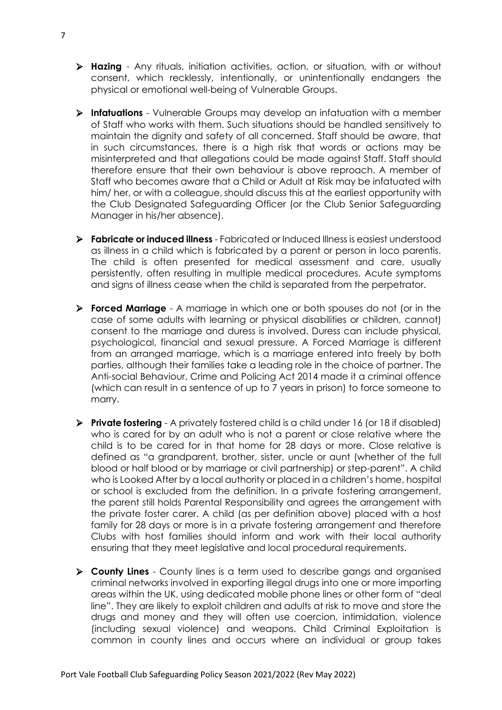- ➢ **Hazing** Any rituals, initiation activities, action, or situation, with or without consent, which recklessly, intentionally, or unintentionally endangers the physical or emotional well-being of Vulnerable Groups.
- ➢ **Infatuations** Vulnerable Groups may develop an infatuation with a member of Staff who works with them. Such situations should be handled sensitively to maintain the dignity and safety of all concerned. Staff should be aware, that in such circumstances, there is a high risk that words or actions may be misinterpreted and that allegations could be made against Staff. Staff should therefore ensure that their own behaviour is above reproach. A member of Staff who becomes aware that a Child or Adult at Risk may be infatuated with him/ her, or with a colleague, should discuss this at the earliest opportunity with the Club Designated Safeguarding Officer (or the Club Senior Safeguarding Manager in his/her absence).
- ➢ **Fabricate or induced illness** Fabricated or Induced Illness is easiest understood as illness in a child which is fabricated by a parent or person in loco parentis. The child is often presented for medical assessment and care, usually persistently, often resulting in multiple medical procedures. Acute symptoms and signs of illness cease when the child is separated from the perpetrator.
- ➢ **Forced Marriage** A marriage in which one or both spouses do not (or in the case of some adults with learning or physical disabilities or children, cannot) consent to the marriage and duress is involved. Duress can include physical, psychological, financial and sexual pressure. A Forced Marriage is different from an arranged marriage, which is a marriage entered into freely by both parties, although their families take a leading role in the choice of partner. The Anti-social Behaviour, Crime and Policing Act 2014 made it a criminal offence (which can result in a sentence of up to 7 years in prison) to force someone to marry.
- ➢ **Private fostering** A privately fostered child is a child under 16 (or 18 if disabled) who is cared for by an adult who is not a parent or close relative where the child is to be cared for in that home for 28 days or more. Close relative is defined as "a grandparent, brother, sister, uncle or aunt (whether of the full blood or half blood or by marriage or civil partnership) or step-parent". A child who is Looked After by a local authority or placed in a children's home, hospital or school is excluded from the definition. In a private fostering arrangement, the parent still holds Parental Responsibility and agrees the arrangement with the private foster carer. A child (as per definition above) placed with a host family for 28 days or more is in a private fostering arrangement and therefore Clubs with host families should inform and work with their local authority ensuring that they meet legislative and local procedural requirements.
- ➢ **County Lines** County lines is a term used to describe gangs and organised criminal networks involved in exporting illegal drugs into one or more importing areas within the UK, using dedicated mobile phone lines or other form of "deal line". They are likely to exploit children and adults at risk to move and store the drugs and money and they will often use coercion, intimidation, violence (including sexual violence) and weapons. Child Criminal Exploitation is common in county lines and occurs where an individual or group takes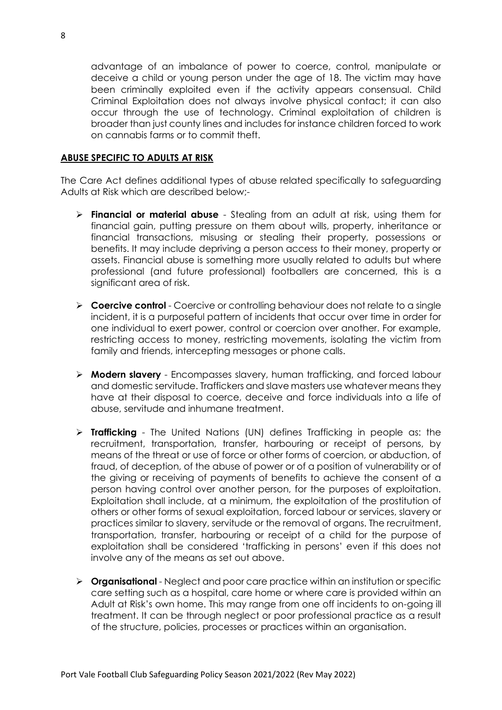advantage of an imbalance of power to coerce, control, manipulate or deceive a child or young person under the age of 18. The victim may have been criminally exploited even if the activity appears consensual. Child Criminal Exploitation does not always involve physical contact; it can also occur through the use of technology. Criminal exploitation of children is broader than just county lines and includes for instance children forced to work on cannabis farms or to commit theft.

#### **ABUSE SPECIFIC TO ADULTS AT RISK**

The Care Act defines additional types of abuse related specifically to safeguarding Adults at Risk which are described below;-

- ➢ **Financial or material abuse** Stealing from an adult at risk, using them for financial gain, putting pressure on them about wills, property, inheritance or financial transactions, misusing or stealing their property, possessions or benefits. It may include depriving a person access to their money, property or assets. Financial abuse is something more usually related to adults but where professional (and future professional) footballers are concerned, this is a significant area of risk.
- ➢ **Coercive control** Coercive or controlling behaviour does not relate to a single incident, it is a purposeful pattern of incidents that occur over time in order for one individual to exert power, control or coercion over another. For example, restricting access to money, restricting movements, isolating the victim from family and friends, intercepting messages or phone calls.
- ➢ **Modern slavery** Encompasses slavery, human trafficking, and forced labour and domestic servitude. Traffickers and slave masters use whatever means they have at their disposal to coerce, deceive and force individuals into a life of abuse, servitude and inhumane treatment.
- ➢ **Trafficking** The United Nations (UN) defines Trafficking in people as: the recruitment, transportation, transfer, harbouring or receipt of persons, by means of the threat or use of force or other forms of coercion, or abduction, of fraud, of deception, of the abuse of power or of a position of vulnerability or of the giving or receiving of payments of benefits to achieve the consent of a person having control over another person, for the purposes of exploitation. Exploitation shall include, at a minimum, the exploitation of the prostitution of others or other forms of sexual exploitation, forced labour or services, slavery or practices similar to slavery, servitude or the removal of organs. The recruitment, transportation, transfer, harbouring or receipt of a child for the purpose of exploitation shall be considered 'trafficking in persons' even if this does not involve any of the means as set out above.
- ➢ **Organisational** Neglect and poor care practice within an institution or specific care setting such as a hospital, care home or where care is provided within an Adult at Risk's own home. This may range from one off incidents to on-going ill treatment. It can be through neglect or poor professional practice as a result of the structure, policies, processes or practices within an organisation.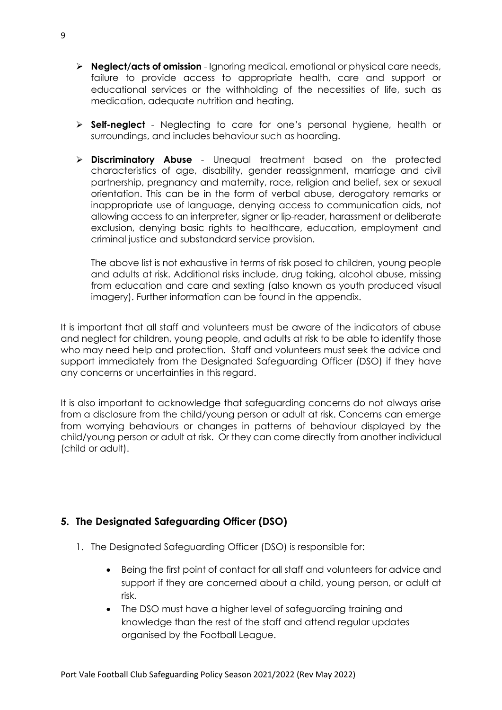- ➢ **Neglect/acts of omission** Ignoring medical, emotional or physical care needs, failure to provide access to appropriate health, care and support or educational services or the withholding of the necessities of life, such as medication, adequate nutrition and heating.
- ➢ **Self-neglect** Neglecting to care for one's personal hygiene, health or surroundings, and includes behaviour such as hoarding.
- ➢ **Discriminatory Abuse** Unequal treatment based on the protected characteristics of age, disability, gender reassignment, marriage and civil partnership, pregnancy and maternity, race, religion and belief, sex or sexual orientation. This can be in the form of verbal abuse, derogatory remarks or inappropriate use of language, denying access to communication aids, not allowing access to an interpreter, signer or lip-reader, harassment or deliberate exclusion, denying basic rights to healthcare, education, employment and criminal justice and substandard service provision.

The above list is not exhaustive in terms of risk posed to children, young people and adults at risk. Additional risks include, drug taking, alcohol abuse, missing from education and care and sexting (also known as youth produced visual imagery). Further information can be found in the appendix.

It is important that all staff and volunteers must be aware of the indicators of abuse and neglect for children, young people, and adults at risk to be able to identify those who may need help and protection. Staff and volunteers must seek the advice and support immediately from the Designated Safeguarding Officer (DSO) if they have any concerns or uncertainties in this regard.

It is also important to acknowledge that safeguarding concerns do not always arise from a disclosure from the child/young person or adult at risk. Concerns can emerge from worrying behaviours or changes in patterns of behaviour displayed by the child/young person or adult at risk. Or they can come directly from another individual (child or adult).

#### **5. The Designated Safeguarding Officer (DSO)**

- 1. The Designated Safeguarding Officer (DSO) is responsible for:
	- Being the first point of contact for all staff and volunteers for advice and support if they are concerned about a child, young person, or adult at risk.
	- The DSO must have a higher level of safeguarding training and knowledge than the rest of the staff and attend regular updates organised by the Football League.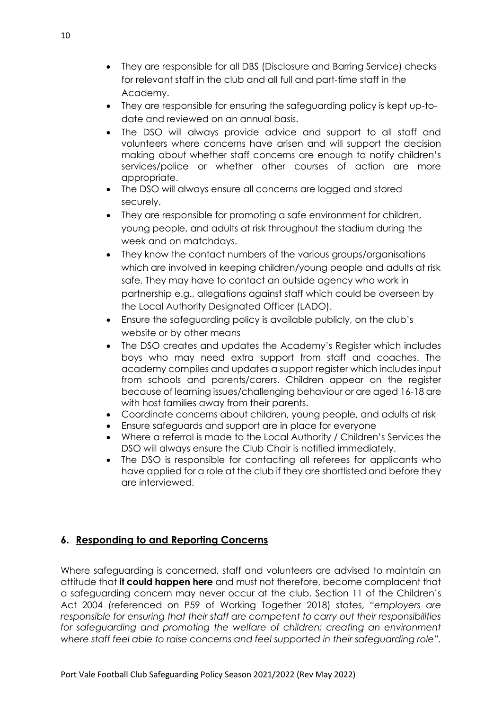- They are responsible for all DBS (Disclosure and Barring Service) checks for relevant staff in the club and all full and part-time staff in the Academy.
- They are responsible for ensuring the safeguarding policy is kept up-todate and reviewed on an annual basis.
- The DSO will always provide advice and support to all staff and volunteers where concerns have arisen and will support the decision making about whether staff concerns are enough to notify children's services/police or whether other courses of action are more appropriate.
- The DSO will always ensure all concerns are logged and stored securely.
- They are responsible for promoting a safe environment for children, young people, and adults at risk throughout the stadium during the week and on matchdays.
- They know the contact numbers of the various groups/organisations which are involved in keeping children/young people and adults at risk safe. They may have to contact an outside agency who work in partnership e.g., allegations against staff which could be overseen by the Local Authority Designated Officer (LADO).
- Ensure the safeguarding policy is available publicly, on the club's website or by other means
- The DSO creates and updates the Academy's Register which includes boys who may need extra support from staff and coaches. The academy compiles and updates a support register which includes input from schools and parents/carers. Children appear on the register because of learning issues/challenging behaviour or are aged 16-18 are with host families away from their parents.
- Coordinate concerns about children, young people, and adults at risk
- Ensure safeguards and support are in place for everyone
- Where a referral is made to the Local Authority / Children's Services the DSO will always ensure the Club Chair is notified immediately.
- The DSO is responsible for contacting all referees for applicants who have applied for a role at the club if they are shortlisted and before they are interviewed.

#### **6. Responding to and Reporting Concerns**

Where safeguarding is concerned, staff and volunteers are advised to maintain an attitude that **it could happen here** and must not therefore, become complacent that a safeguarding concern may never occur at the club. Section 11 of the Children's Act 2004 (referenced on P59 of Working Together 2018) states, "*employers are responsible for ensuring that their staff are competent to carry out their responsibilities*  for safeguarding and promoting the welfare of children; creating an environment *where staff feel able to raise concerns and feel supported in their safeguarding role".*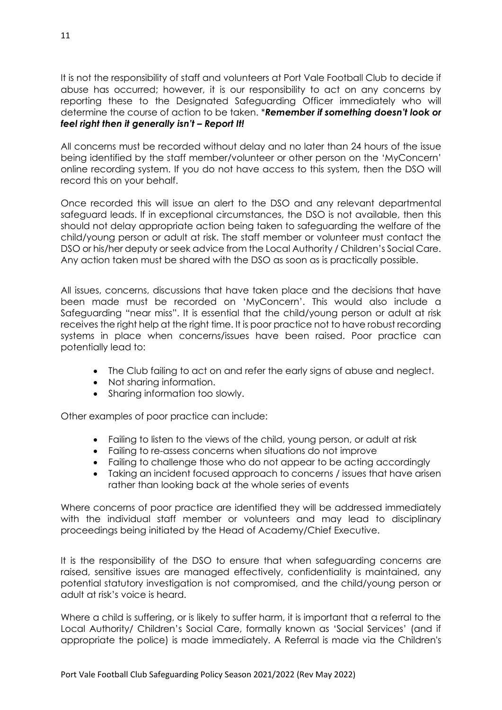It is not the responsibility of staff and volunteers at Port Vale Football Club to decide if abuse has occurred; however, it is our responsibility to act on any concerns by reporting these to the Designated Safeguarding Officer immediately who will determine the course of action to be taken. \**Remember if something doesn't look or feel right then it generally isn't – Report It!*

All concerns must be recorded without delay and no later than 24 hours of the issue being identified by the staff member/volunteer or other person on the 'MyConcern' online recording system. If you do not have access to this system, then the DSO will record this on your behalf.

Once recorded this will issue an alert to the DSO and any relevant departmental safeguard leads. If in exceptional circumstances, the DSO is not available, then this should not delay appropriate action being taken to safeguarding the welfare of the child/young person or adult at risk. The staff member or volunteer must contact the DSO or his/her deputy or seek advice from the Local Authority / Children's Social Care. Any action taken must be shared with the DSO as soon as is practically possible.

All issues, concerns, discussions that have taken place and the decisions that have been made must be recorded on 'MyConcern'. This would also include a Safeguarding "near miss". It is essential that the child/young person or adult at risk receives the right help at the right time. It is poor practice not to have robust recording systems in place when concerns/issues have been raised. Poor practice can potentially lead to:

- The Club failing to act on and refer the early signs of abuse and neglect.
- Not sharing information.
- Sharing information too slowly.

Other examples of poor practice can include:

- Failing to listen to the views of the child, young person, or adult at risk
- Failing to re-assess concerns when situations do not improve
- Failing to challenge those who do not appear to be acting accordingly
- Taking an incident focused approach to concerns / issues that have arisen rather than looking back at the whole series of events

Where concerns of poor practice are identified they will be addressed immediately with the individual staff member or volunteers and may lead to disciplinary proceedings being initiated by the Head of Academy/Chief Executive.

It is the responsibility of the DSO to ensure that when safeguarding concerns are raised, sensitive issues are managed effectively, confidentiality is maintained, any potential statutory investigation is not compromised, and the child/young person or adult at risk's voice is heard.

Where a child is suffering, or is likely to suffer harm, it is important that a referral to the Local Authority/ Children's Social Care, formally known as 'Social Services' (and if appropriate the police) is made immediately. A Referral is made via the Children's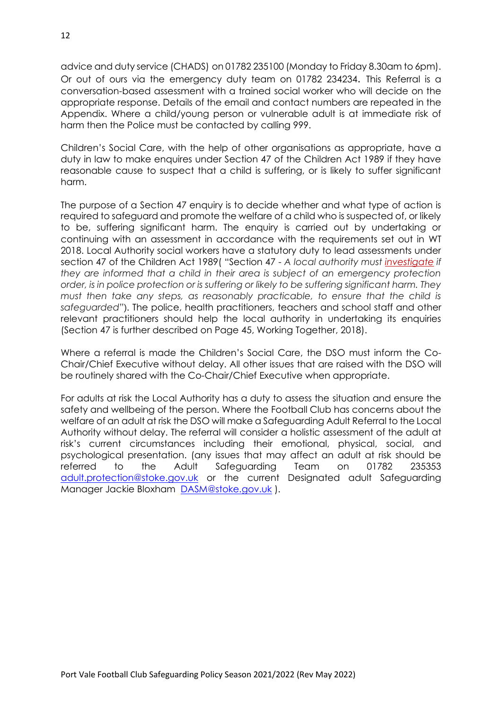advice and duty service (CHADS) on 01782 235100 (Monday to Friday 8.30am to 6pm). Or out of ours via the emergency duty team on 01782 234234. This Referral is a conversation-based assessment with a trained social worker who will decide on the appropriate response. Details of the email and contact numbers are repeated in the Appendix. Where a child/young person or vulnerable adult is at immediate risk of harm then the Police must be contacted by calling 999.

Children's Social Care, with the help of other organisations as appropriate, have a duty in law to make enquires under Section 47 of the Children Act 1989 if they have reasonable cause to suspect that a child is suffering, or is likely to suffer significant harm.

The purpose of a Section 47 enquiry is to decide whether and what type of action is required to safeguard and promote the welfare of a child who is suspected of, or likely to be, suffering significant harm. The enquiry is carried out by undertaking or continuing with an assessment in accordance with the requirements set out in WT 2018. Local Authority social workers have a statutory duty to lead assessments under section 47 of the Children Act 1989( "Section 47 - *A local authority must [investigate](https://en.wikipedia.org/w/index.php?title=Section_47_investigation&action=edit&redlink=1) if they are informed that a child in their area is subject of an emergency protection order, is in police protection or is suffering or likely to be suffering significant harm. They must then take any steps, as reasonably practicable, to ensure that the child is safeguarded"*). The police, health practitioners, teachers and school staff and other relevant practitioners should help the local authority in undertaking its enquiries (Section 47 is further described on Page 45, Working Together, 2018).

Where a referral is made the Children's Social Care, the DSO must inform the Co-Chair/Chief Executive without delay. All other issues that are raised with the DSO will be routinely shared with the Co-Chair/Chief Executive when appropriate.

For adults at risk the Local Authority has a duty to assess the situation and ensure the safety and wellbeing of the person. Where the Football Club has concerns about the welfare of an adult at risk the DSO will make a Safeguarding Adult Referral to the Local Authority without delay. The referral will consider a holistic assessment of the adult at risk's current circumstances including their emotional, physical, social, and psychological presentation. (any issues that may affect an adult at risk should be referred to the Adult Safeguarding Team on 01782 235353 [adult.protection@stoke.gov.uk](mailto:adult.protection@stoke.gov.uk) or the current Designated adult Safeguarding Manager Jackie Bloxham [DASM@stoke.gov.uk](mailto:DASM@stoke.gov.uk) ).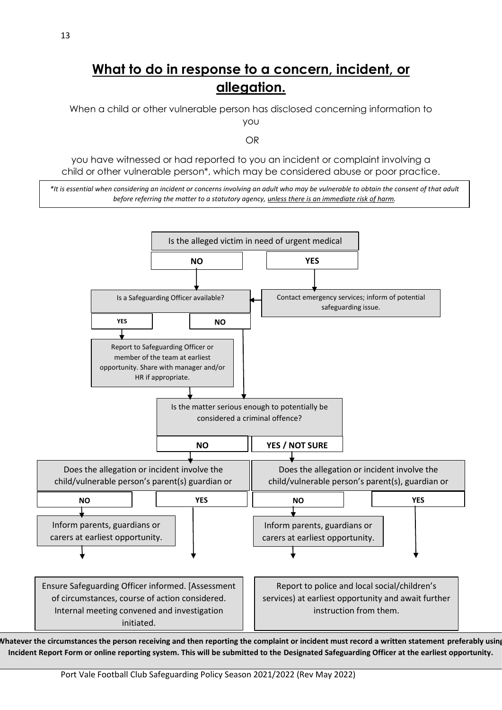### **What to do in response to a concern, incident, or allegation.**

When a child or other vulnerable person has disclosed concerning information to you

OR

you have witnessed or had reported to you an incident or complaint involving a child or other vulnerable person\*, which may be considered abuse or poor practice.

*\*It is essential when considering an incident or concerns involving an adult who may be vulnerable to obtain the consent of that adult before referring the matter to a statutory agency, unless there is an immediate risk of harm.*



**Whatever the circumstances the person receiving and then reporting the complaint or incident must record a written statement preferably using Incident Report Form or online reporting system. This will be submitted to the Designated Safeguarding Officer at the earliest opportunity.**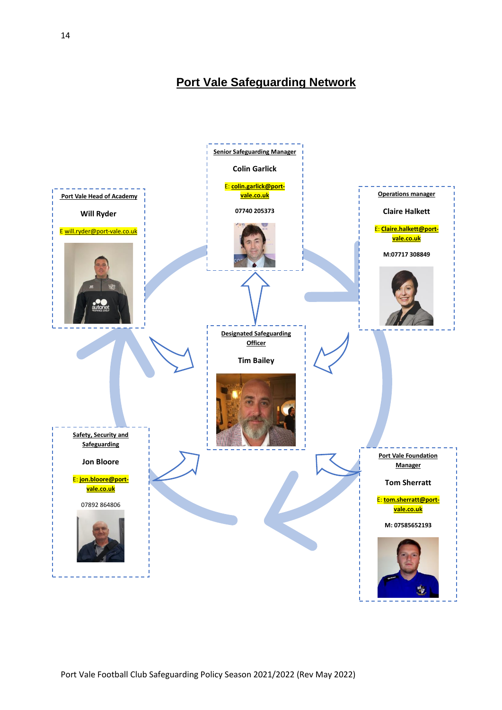**Port Vale Safeguarding Network**

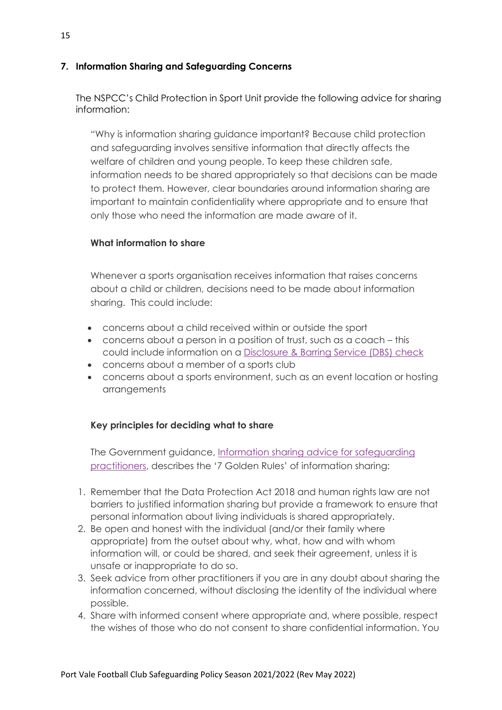#### **7. Information Sharing and Safeguarding Concerns**

The NSPCC's Child Protection in Sport Unit provide the following advice for sharing information:

"Why is information sharing guidance important? Because child protection and safeguarding involves sensitive information that directly affects the welfare of children and young people. To keep these children safe, information needs to be shared appropriately so that decisions can be made to protect them. However, clear boundaries around information sharing are important to maintain confidentiality where appropriate and to ensure that only those who need the information are made aware of it.

#### **What information to share**

Whenever a sports organisation receives information that raises concerns about a child or children, decisions need to be made about information sharing. This could include:

- concerns about a child received within or outside the sport
- concerns about a person in a position of trust, such as a coach this could include information on a [Disclosure](https://www.gov.uk/government/organisations/disclosure-and-barring-service) & Barring Service (DBS) check
- concerns about a member of a sports club
- concerns about a sports environment, such as an event location or hosting arrangements

#### **Key principles for deciding what to share**

The Government guidance, Information sharing advice for [safeguarding](https://www.gov.uk/government/publications/safeguarding-practitioners-information-sharing-advice) [practitioners,](https://www.gov.uk/government/publications/safeguarding-practitioners-information-sharing-advice) describes the '7 Golden Rules' of information sharing:

- 1. Remember that the Data Protection Act 2018 and human rights law are not barriers to justified information sharing but provide a framework to ensure that personal information about living individuals is shared appropriately.
- 2. Be open and honest with the individual (and/or their family where appropriate) from the outset about why, what, how and with whom information will, or could be shared, and seek their agreement, unless it is unsafe or inappropriate to do so.
- 3. Seek advice from other practitioners if you are in any doubt about sharing the information concerned, without disclosing the identity of the individual where possible.
- 4. Share with informed consent where appropriate and, where possible, respect the wishes of those who do not consent to share confidential information. You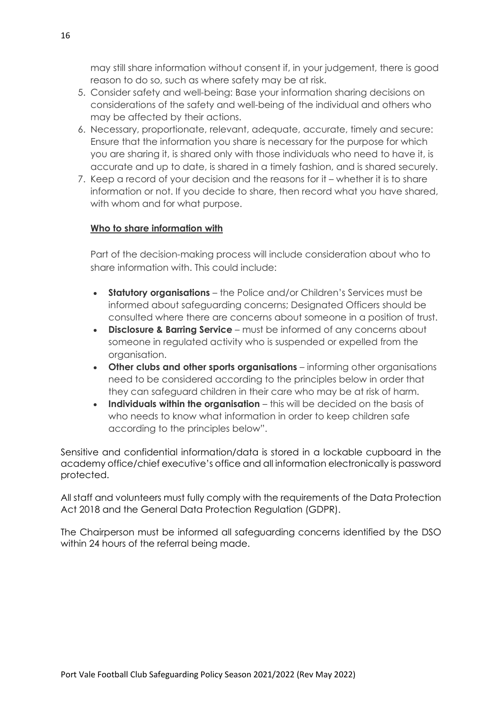may still share information without consent if, in your judgement, there is good reason to do so, such as where safety may be at risk.

- 5. Consider safety and well-being: Base your information sharing decisions on considerations of the safety and well-being of the individual and others who may be affected by their actions.
- 6. Necessary, proportionate, relevant, adequate, accurate, timely and secure: Ensure that the information you share is necessary for the purpose for which you are sharing it, is shared only with those individuals who need to have it, is accurate and up to date, is shared in a timely fashion, and is shared securely.
- 7. Keep a record of your decision and the reasons for it whether it is to share information or not. If you decide to share, then record what you have shared, with whom and for what purpose.

#### **Who to share information with**

Part of the decision-making process will include consideration about who to share information with. This could include:

- **Statutory organisations** the Police and/or Children's Services must be informed about safeguarding concerns; Designated Officers should be consulted where there are concerns about someone in a position of trust.
- **Disclosure & Barring Service** must be informed of any concerns about someone in regulated activity who is suspended or expelled from the organisation.
- **Other clubs and other sports organisations** informing other organisations need to be considered according to the principles below in order that they can safeguard children in their care who may be at risk of harm.
- **Individuals within the organisation** this will be decided on the basis of who needs to know what information in order to keep children safe according to the principles below".

Sensitive and confidential information/data is stored in a lockable cupboard in the academy office/chief executive's office and all information electronically is password protected.

All staff and volunteers must fully comply with the requirements of the Data Protection Act 2018 and the General Data Protection Regulation (GDPR).

The Chairperson must be informed all safeguarding concerns identified by the DSO within 24 hours of the referral being made.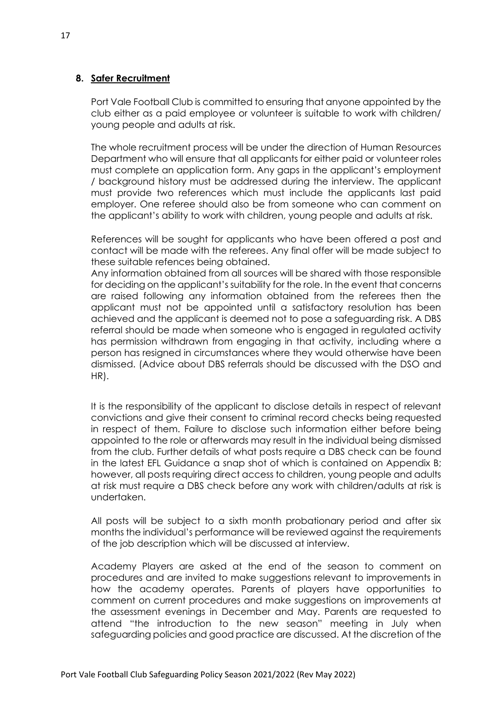#### **8. Safer Recruitment**

Port Vale Football Club is committed to ensuring that anyone appointed by the club either as a paid employee or volunteer is suitable to work with children/ young people and adults at risk.

The whole recruitment process will be under the direction of Human Resources Department who will ensure that all applicants for either paid or volunteer roles must complete an application form. Any gaps in the applicant's employment / background history must be addressed during the interview. The applicant must provide two references which must include the applicants last paid employer. One referee should also be from someone who can comment on the applicant's ability to work with children, young people and adults at risk.

References will be sought for applicants who have been offered a post and contact will be made with the referees. Any final offer will be made subject to these suitable refences being obtained.

Any information obtained from all sources will be shared with those responsible for deciding on the applicant's suitability for the role. In the event that concerns are raised following any information obtained from the referees then the applicant must not be appointed until a satisfactory resolution has been achieved and the applicant is deemed not to pose a safeguarding risk. A DBS referral should be made when someone who is engaged in regulated activity has permission withdrawn from engaging in that activity, including where a person has resigned in circumstances where they would otherwise have been dismissed. (Advice about DBS referrals should be discussed with the DSO and HR).

It is the responsibility of the applicant to disclose details in respect of relevant convictions and give their consent to criminal record checks being requested in respect of them. Failure to disclose such information either before being appointed to the role or afterwards may result in the individual being dismissed from the club. Further details of what posts require a DBS check can be found in the latest EFL Guidance a snap shot of which is contained on Appendix B; however, all posts requiring direct access to children, young people and adults at risk must require a DBS check before any work with children/adults at risk is undertaken.

All posts will be subject to a sixth month probationary period and after six months the individual's performance will be reviewed against the requirements of the job description which will be discussed at interview.

Academy Players are asked at the end of the season to comment on procedures and are invited to make suggestions relevant to improvements in how the academy operates. Parents of players have opportunities to comment on current procedures and make suggestions on improvements at the assessment evenings in December and May. Parents are requested to attend "the introduction to the new season" meeting in July when safeguarding policies and good practice are discussed. At the discretion of the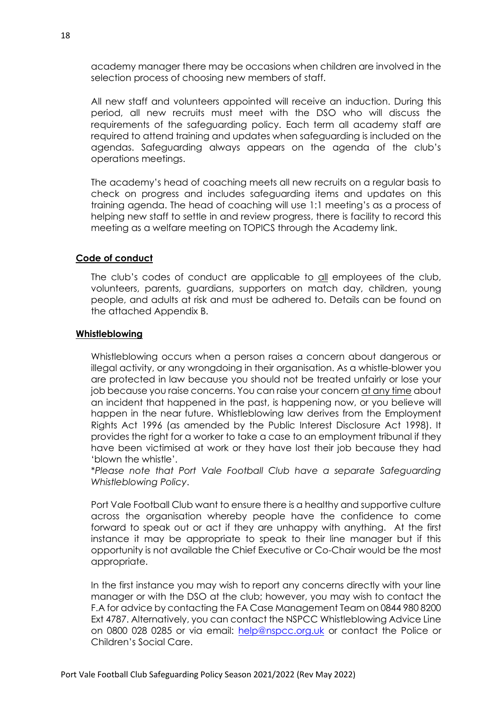academy manager there may be occasions when children are involved in the selection process of choosing new members of staff.

All new staff and volunteers appointed will receive an induction. During this period, all new recruits must meet with the DSO who will discuss the requirements of the safeguarding policy. Each term all academy staff are required to attend training and updates when safeguarding is included on the agendas. Safeguarding always appears on the agenda of the club's operations meetings.

The academy's head of coaching meets all new recruits on a regular basis to check on progress and includes safeguarding items and updates on this training agenda. The head of coaching will use 1:1 meeting's as a process of helping new staff to settle in and review progress, there is facility to record this meeting as a welfare meeting on TOPICS through the Academy link.

#### **Code of conduct**

The club's codes of conduct are applicable to all employees of the club, volunteers, parents, guardians, supporters on match day, children, young people, and adults at risk and must be adhered to. Details can be found on the attached Appendix B.

#### **Whistleblowing**

Whistleblowing occurs when a person raises a concern about dangerous or illegal activity, or any wrongdoing in their organisation. As a whistle-blower you are protected in law because you should not be treated unfairly or lose your job because you raise concerns. You can raise your concern at any time about an incident that happened in the past, is happening now, or you believe will happen in the near future. Whistleblowing law derives from the Employment Rights Act 1996 (as amended by the Public Interest Disclosure Act 1998). It provides the right for a worker to take a case to an employment tribunal if they have been victimised at work or they have lost their job because they had 'blown the whistle'.

\**Please note that Port Vale Football Club have a separate Safeguarding Whistleblowing Policy*.

Port Vale Football Club want to ensure there is a healthy and supportive culture across the organisation whereby people have the confidence to come forward to speak out or act if they are unhappy with anything. At the first instance it may be appropriate to speak to their line manager but if this opportunity is not available the Chief Executive or Co-Chair would be the most appropriate.

In the first instance you may wish to report any concerns directly with your line manager or with the DSO at the club; however, you may wish to contact the F.A for advice by contacting the FA Case Management Team on 0844 980 8200 Ext 4787. Alternatively, you can contact the NSPCC Whistleblowing Advice Line on 0800 028 0285 or via email: [help@nspcc.org.uk](mailto:help@nspcc.org.uk) or contact the Police or Children's Social Care.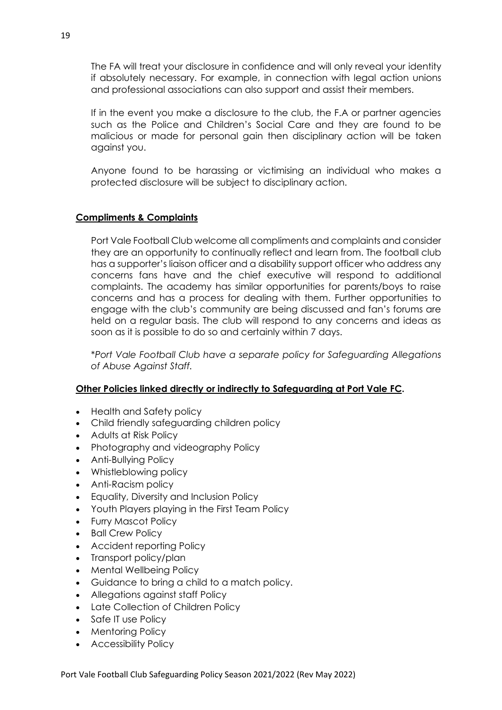The FA will treat your disclosure in confidence and will only reveal your identity if absolutely necessary. For example, in connection with legal action unions and professional associations can also support and assist their members.

If in the event you make a disclosure to the club, the F.A or partner agencies such as the Police and Children's Social Care and they are found to be malicious or made for personal gain then disciplinary action will be taken against you.

Anyone found to be harassing or victimising an individual who makes a protected disclosure will be subject to disciplinary action.

#### **Compliments & Complaints**

Port Vale Football Club welcome all compliments and complaints and consider they are an opportunity to continually reflect and learn from. The football club has a supporter's liaison officer and a disability support officer who address any concerns fans have and the chief executive will respond to additional complaints. The academy has similar opportunities for parents/boys to raise concerns and has a process for dealing with them. Further opportunities to engage with the club's community are being discussed and fan's forums are held on a regular basis. The club will respond to any concerns and ideas as soon as it is possible to do so and certainly within 7 days.

\**Port Vale Football Club have a separate policy for Safeguarding Allegations of Abuse Against Staff.*

#### **Other Policies linked directly or indirectly to Safeguarding at Port Vale FC.**

- Health and Safety policy
- Child friendly safeguarding children policy
- Adults at Risk Policy
- Photography and videography Policy
- Anti-Bullying Policy
- Whistleblowing policy
- Anti-Racism policy
- Equality, Diversity and Inclusion Policy
- Youth Players playing in the First Team Policy
- Furry Mascot Policy
- Ball Crew Policy
- Accident reporting Policy
- Transport policy/plan
- Mental Wellbeing Policy
- Guidance to bring a child to a match policy.
- Allegations against staff Policy
- Late Collection of Children Policy
- Safe IT use Policy
- Mentoring Policy
- Accessibility Policy

Port Vale Football Club Safeguarding Policy Season 2021/2022 (Rev May 2022)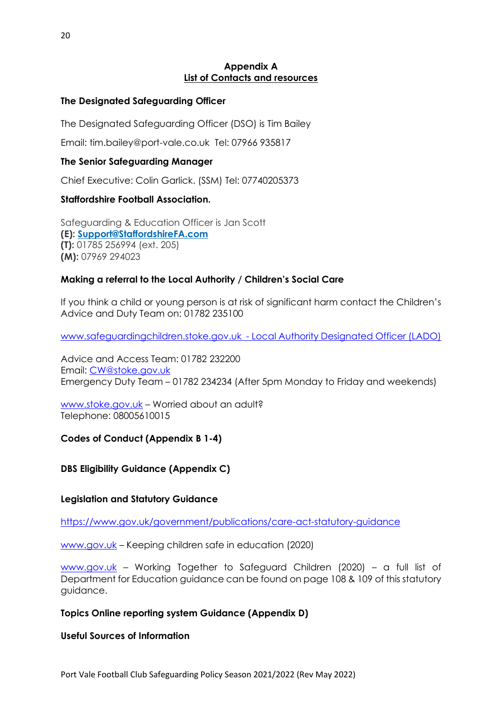#### **Appendix A List of Contacts and resources**

#### **The Designated Safeguarding Officer**

The Designated Safeguarding Officer (DSO) is Tim Bailey

Email: [tim.bailey@port-vale.co.uk](mailto:tim.bailey@port-vale.co.uk) Tel: 07966 935817

#### **The Senior Safeguarding Manager**

Chief Executive: Colin Garlick. (SSM) [Tel: 07740205373](tel:07740205373)

#### **Staffordshire Football Association.**

Safeguarding & Education Officer is Jan Scott **(E): [Support@StaffordshireFA.com](mailto:Support@StaffordshireFA.com?subject=Support@StaffordshireFA.com) (T):** 01785 256994 (ext. 205) **(M):** 07969 294023

#### **Making a referral to the Local Authority / Children's Social Care**

If you think a child or young person is at risk of significant harm contact the Children's Advice and Duty Team on: 01782 235100

[www.safeguardingchildren.stoke.gov.uk](http://www.safeguardingchildren.stoke.gov.uk/) - Local Authority Designated Officer (LADO)

Advice and Access Team: 01782 232200 Email: [CW@stoke.gov.uk](mailto:CW@stoke.gov.uk) Emergency Duty Team – 01782 234234 (After 5pm Monday to Friday and weekends)

[www.stoke.gov.uk](http://www.stoke.gov.uk/) – Worried about an adult? Telephone: 08005610015

#### **Codes of Conduct (Appendix B 1-4)**

#### **DBS Eligibility Guidance (Appendix C)**

#### **Legislation and Statutory Guidance**

<https://www.gov.uk/government/publications/care-act-statutory-guidance>

[www.gov.uk](http://www.gov.uk/) – Keeping children safe in education (2020)

[www.gov.uk](http://www.gov.uk/) – Working Together to Safeguard Children (2020) – a full list of Department for Education guidance can be found on page 108 & 109 of this statutory guidance.

#### **Topics Online reporting system Guidance (Appendix D)**

**Useful Sources of Information**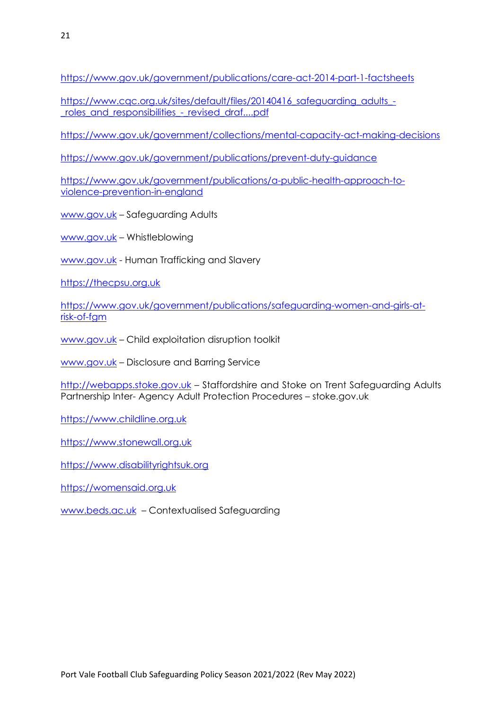<https://www.gov.uk/government/publications/care-act-2014-part-1-factsheets>

[https://www.cqc.org.uk/sites/default/files/20140416\\_safeguarding\\_adults\\_](https://www.cqc.org.uk/sites/default/files/20140416_safeguarding_adults_-_roles_and_responsibilities_-_revised_draf....pdf) roles and responsibilities - revised draf....pdf

<https://www.gov.uk/government/collections/mental-capacity-act-making-decisions>

<https://www.gov.uk/government/publications/prevent-duty-guidance>

[https://www.gov.uk/government/publications/a-public-health-approach-to](https://www.gov.uk/government/publications/a-public-health-approach-to-violence-prevention-in-england)[violence-prevention-in-england](https://www.gov.uk/government/publications/a-public-health-approach-to-violence-prevention-in-england)

[www.gov.uk](http://www.gov.uk/) – Safeguarding Adults

[www.gov.uk](http://www.gov.uk/) – Whistleblowing

[www.gov.uk](http://www.gov.uk/) - Human Trafficking and Slavery

[https://thecpsu.org.uk](https://thecpsu.org.uk/)

[https://www.gov.uk/government/publications/safeguarding-women-and-girls-at](https://www.gov.uk/government/publications/safeguarding-women-and-girls-at-risk-of-fgm)[risk-of-fgm](https://www.gov.uk/government/publications/safeguarding-women-and-girls-at-risk-of-fgm)

[www.gov.uk](http://www.gov.uk/) - Child exploitation disruption toolkit

[www.gov.uk](http://www.gov.uk/) – Disclosure and Barring Service

[http://webapps.stoke.gov.uk](http://webapps.stoke.gov.uk/) – Staffordshire and Stoke on Trent Safeguarding Adults Partnership Inter- Agency Adult Protection Procedures – stoke.gov.uk

https:/[/www.childline.org.uk](http://www.childline.org.uk/)

[https://www.stonewall.org.uk](https://www.stonewall.org.uk/)

[https://www.disabilityrightsuk.org](https://www.disabilityrightsuk.org/)

[https://womensaid.org.uk](https://womensaid.org.uk/)

[www.beds.ac.uk](http://www.beds.ac.uk/) – Contextualised Safeguarding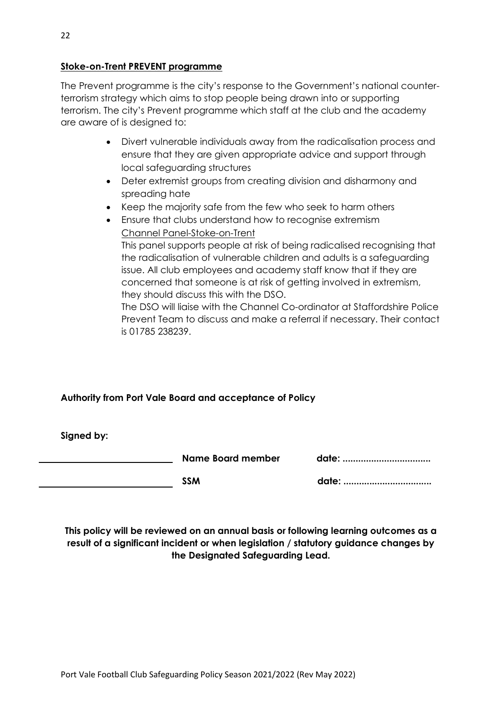#### **Stoke-on-Trent PREVENT programme**

The Prevent programme is the city's response to the Government's national counterterrorism strategy which aims to stop people being drawn into or supporting terrorism. The city's Prevent programme which staff at the club and the academy are aware of is designed to:

- Divert vulnerable individuals away from the radicalisation process and ensure that they are given appropriate advice and support through local safeguarding structures
- Deter extremist groups from creating division and disharmony and spreading hate
- Keep the majority safe from the few who seek to harm others
- Ensure that clubs understand how to recognise extremism Channel Panel-Stoke-on-Trent

This panel supports people at risk of being radicalised recognising that the radicalisation of vulnerable children and adults is a safeguarding issue. All club employees and academy staff know that if they are concerned that someone is at risk of getting involved in extremism, they should discuss this with the DSO.

The DSO will liaise with the Channel Co-ordinator at Staffordshire Police Prevent Team to discuss and make a referral if necessary. Their contact is 01785 238239.

#### **Authority from Port Vale Board and acceptance of Policy**

**Signed by:** 

**Name Board member and discussed** 

**SSM date: ..................................**

**This policy will be reviewed on an annual basis or following learning outcomes as a result of a significant incident or when legislation / statutory guidance changes by the Designated Safeguarding Lead.**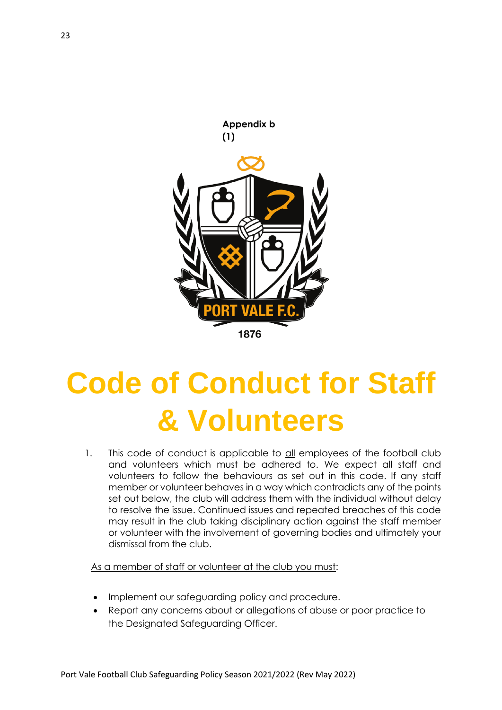

# **Code of Conduct for Staff & Volunteers**

1. This code of conduct is applicable to all employees of the football club and volunteers which must be adhered to. We expect all staff and volunteers to follow the behaviours as set out in this code. If any staff member or volunteer behaves in a way which contradicts any of the points set out below, the club will address them with the individual without delay to resolve the issue. Continued issues and repeated breaches of this code may result in the club taking disciplinary action against the staff member or volunteer with the involvement of governing bodies and ultimately your dismissal from the club.

As a member of staff or volunteer at the club you must:

- Implement our safeguarding policy and procedure.
- Report any concerns about or allegations of abuse or poor practice to the Designated Safeguarding Officer.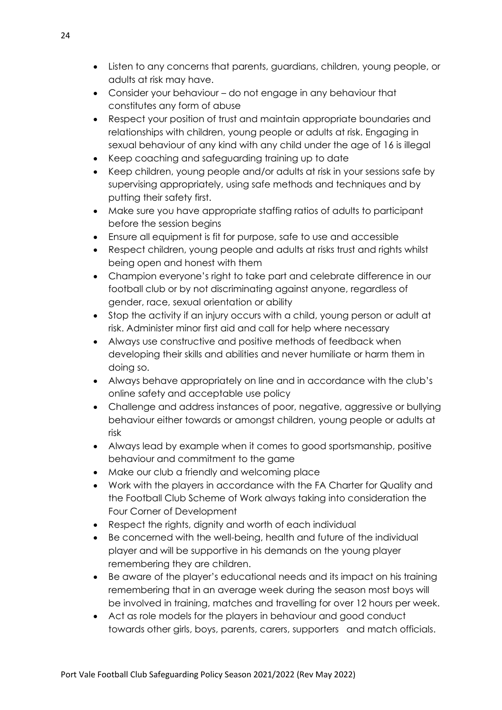- Listen to any concerns that parents, guardians, children, young people, or adults at risk may have.
- Consider your behaviour do not engage in any behaviour that constitutes any form of abuse
- Respect your position of trust and maintain appropriate boundaries and relationships with children, young people or adults at risk. Engaging in sexual behaviour of any kind with any child under the age of 16 is illegal
- Keep coaching and safeguarding training up to date
- Keep children, young people and/or adults at risk in your sessions safe by supervising appropriately, using safe methods and techniques and by putting their safety first.
- Make sure you have appropriate staffing ratios of adults to participant before the session begins
- Ensure all equipment is fit for purpose, safe to use and accessible
- Respect children, young people and adults at risks trust and rights whilst being open and honest with them
- Champion everyone's right to take part and celebrate difference in our football club or by not discriminating against anyone, regardless of gender, race, sexual orientation or ability
- Stop the activity if an injury occurs with a child, young person or adult at risk. Administer minor first aid and call for help where necessary
- Always use constructive and positive methods of feedback when developing their skills and abilities and never humiliate or harm them in doing so.
- Always behave appropriately on line and in accordance with the club's online safety and acceptable use policy
- Challenge and address instances of poor, negative, aggressive or bullying behaviour either towards or amongst children, young people or adults at risk
- Always lead by example when it comes to good sportsmanship, positive behaviour and commitment to the game
- Make our club a friendly and welcoming place
- Work with the players in accordance with the FA Charter for Quality and the Football Club Scheme of Work always taking into consideration the Four Corner of Development
- Respect the rights, dignity and worth of each individual
- Be concerned with the well-being, health and future of the individual player and will be supportive in his demands on the young player remembering they are children.
- Be aware of the player's educational needs and its impact on his training remembering that in an average week during the season most boys will be involved in training, matches and travelling for over 12 hours per week.
- Act as role models for the players in behaviour and good conduct towards other girls, boys, parents, carers, supporters and match officials.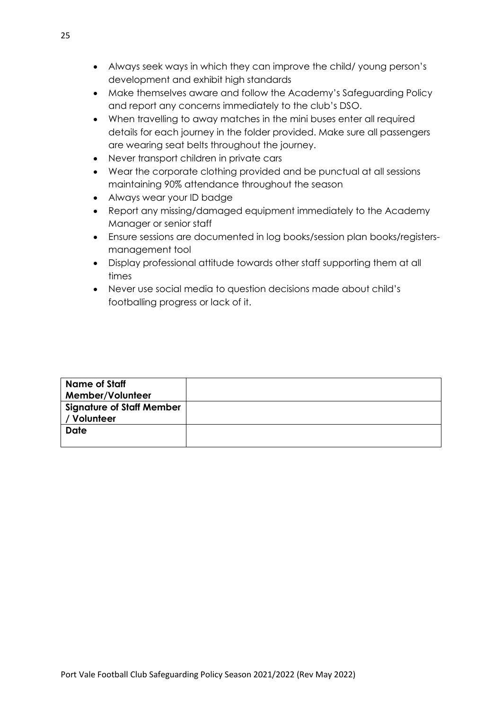- Always seek ways in which they can improve the child/ young person's development and exhibit high standards
- Make themselves aware and follow the Academy's Safeguarding Policy and report any concerns immediately to the club's DSO.
- When travelling to away matches in the mini buses enter all required details for each journey in the folder provided. Make sure all passengers are wearing seat belts throughout the journey.
- Never transport children in private cars
- Wear the corporate clothing provided and be punctual at all sessions maintaining 90% attendance throughout the season
- Always wear your ID badge
- Report any missing/damaged equipment immediately to the Academy Manager or senior staff
- Ensure sessions are documented in log books/session plan books/registersmanagement tool
- Display professional attitude towards other staff supporting them at all times
- Never use social media to question decisions made about child's footballing progress or lack of it.

| <b>Name of Staff</b>             |  |
|----------------------------------|--|
| Member/Volunteer                 |  |
| <b>Signature of Staff Member</b> |  |
| / Volunteer                      |  |
| <b>Date</b>                      |  |
|                                  |  |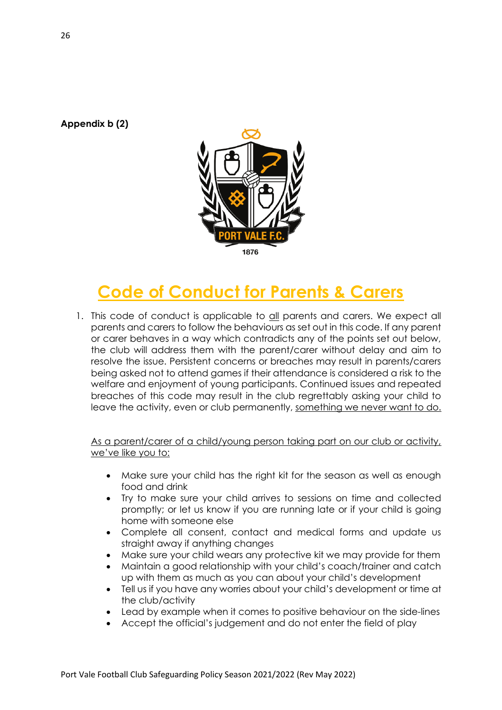**Appendix b (2)**



# **Code of Conduct for Parents & Carers**

1. This code of conduct is applicable to all parents and carers. We expect all parents and carers to follow the behaviours as set out in this code. If any parent or carer behaves in a way which contradicts any of the points set out below, the club will address them with the parent/carer without delay and aim to resolve the issue. Persistent concerns or breaches may result in parents/carers being asked not to attend games if their attendance is considered a risk to the welfare and enjoyment of young participants. Continued issues and repeated breaches of this code may result in the club regrettably asking your child to leave the activity, even or club permanently, something we never want to do.

As a parent/carer of a child/young person taking part on our club or activity, we've like you to:

- Make sure your child has the right kit for the season as well as enough food and drink
- Try to make sure your child arrives to sessions on time and collected promptly; or let us know if you are running late or if your child is going home with someone else
- Complete all consent, contact and medical forms and update us straight away if anything changes
- Make sure your child wears any protective kit we may provide for them
- Maintain a good relationship with your child's coach/trainer and catch up with them as much as you can about your child's development
- Tell us if you have any worries about your child's development or time at the club/activity
- Lead by example when it comes to positive behaviour on the side-lines
- Accept the official's judgement and do not enter the field of play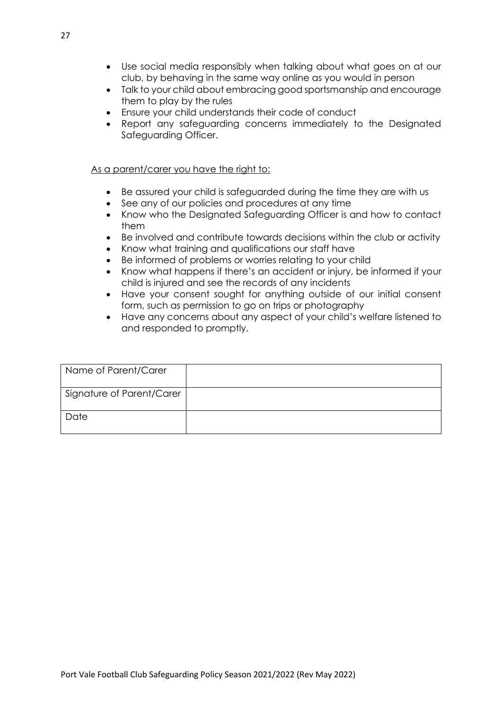- Use social media responsibly when talking about what goes on at our club, by behaving in the same way online as you would in person
- Talk to your child about embracing good sportsmanship and encourage them to play by the rules
- Ensure your child understands their code of conduct
- Report any safeguarding concerns immediately to the Designated Safeguarding Officer.

#### As a parent/carer you have the right to:

- Be assured your child is safeguarded during the time they are with us
- See any of our policies and procedures at any time
- Know who the Designated Safeguarding Officer is and how to contact them
- Be involved and contribute towards decisions within the club or activity
- Know what training and qualifications our staff have
- Be informed of problems or worries relating to your child
- Know what happens if there's an accident or injury, be informed if your child is injured and see the records of any incidents
- Have your consent sought for anything outside of our initial consent form, such as permission to go on trips or photography
- Have any concerns about any aspect of your child's welfare listened to and responded to promptly.

| Name of Parent/Carer      |  |
|---------------------------|--|
| Signature of Parent/Carer |  |
| Date                      |  |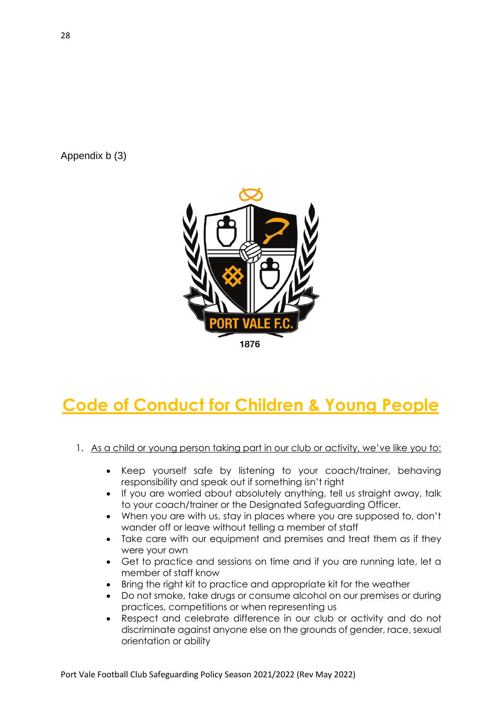Appendix b (3)



## **Code of Conduct for Children & Young People**

#### 1. As a child or young person taking part in our club or activity, we've like you to:

- Keep yourself safe by listening to your coach/trainer, behaving responsibility and speak out if something isn't right
- If you are worried about absolutely anything, tell us straight away, talk to your coach/trainer or the Designated Safeguarding Officer.
- When you are with us, stay in places where you are supposed to, don't wander off or leave without telling a member of staff
- Take care with our equipment and premises and treat them as if they were your own
- Get to practice and sessions on time and if you are running late, let a member of staff know
- Bring the right kit to practice and appropriate kit for the weather
- Do not smoke, take drugs or consume alcohol on our premises or during practices, competitions or when representing us
- Respect and celebrate difference in our club or activity and do not discriminate against anyone else on the grounds of gender, race, sexual orientation or ability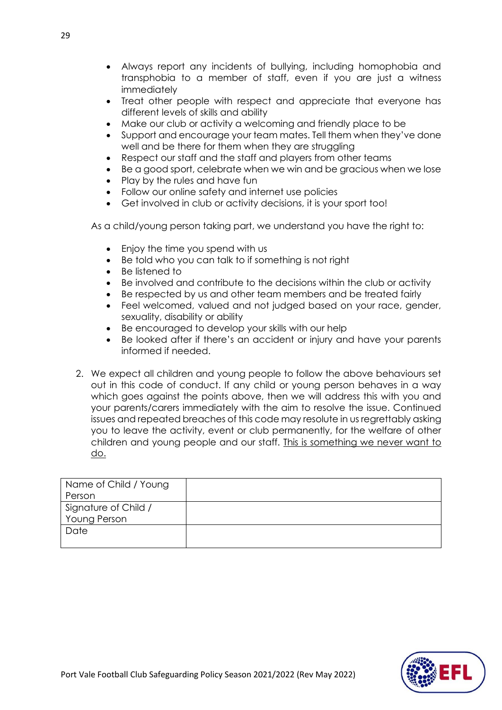- Always report any incidents of bullying, including homophobia and transphobia to a member of staff, even if you are just a witness immediately
- Treat other people with respect and appreciate that everyone has different levels of skills and ability
- Make our club or activity a welcoming and friendly place to be
- Support and encourage your team mates. Tell them when they've done well and be there for them when they are struggling
- Respect our staff and the staff and players from other teams
- Be a good sport, celebrate when we win and be gracious when we lose
- Play by the rules and have fun
- Follow our online safety and internet use policies
- Get involved in club or activity decisions, it is your sport too!

As a child/young person taking part, we understand you have the right to:

- Enjoy the time you spend with us
- Be told who you can talk to if something is not right
- Be listened to
- Be involved and contribute to the decisions within the club or activity
- Be respected by us and other team members and be treated fairly
- Feel welcomed, valued and not judged based on your race, gender, sexuality, disability or ability
- Be encouraged to develop your skills with our help
- Be looked after if there's an accident or injury and have your parents informed if needed.
- 2. We expect all children and young people to follow the above behaviours set out in this code of conduct. If any child or young person behaves in a way which goes against the points above, then we will address this with you and your parents/carers immediately with the aim to resolve the issue. Continued issues and repeated breaches of this code may resolute in us regrettably asking you to leave the activity, event or club permanently, for the welfare of other children and young people and our staff. This is something we never want to do.

| Name of Child / Young |  |
|-----------------------|--|
| Person                |  |
| Signature of Child /  |  |
| Young Person          |  |
| Date                  |  |
|                       |  |

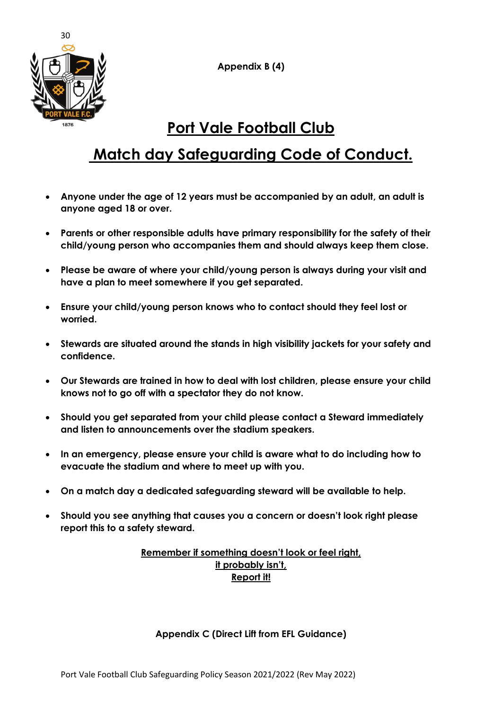**Appendix B (4)**



## **Port Vale Football Club**

## **Match day Safeguarding Code of Conduct.**

- **Anyone under the age of 12 years must be accompanied by an adult, an adult is anyone aged 18 or over.**
- **Parents or other responsible adults have primary responsibility for the safety of their child/young person who accompanies them and should always keep them close.**
- **Please be aware of where your child/young person is always during your visit and have a plan to meet somewhere if you get separated.**
- **Ensure your child/young person knows who to contact should they feel lost or worried.**
- **Stewards are situated around the stands in high visibility jackets for your safety and confidence.**
- **Our Stewards are trained in how to deal with lost children, please ensure your child knows not to go off with a spectator they do not know.**
- **Should you get separated from your child please contact a Steward immediately and listen to announcements over the stadium speakers.**
- **In an emergency, please ensure your child is aware what to do including how to evacuate the stadium and where to meet up with you.**
- **On a match day a dedicated safeguarding steward will be available to help.**
- **Should you see anything that causes you a concern or doesn't look right please report this to a safety steward.**

#### **Remember if something doesn't look or feel right, it probably isn't, Report it!**

#### **Appendix C (Direct Lift from EFL Guidance)**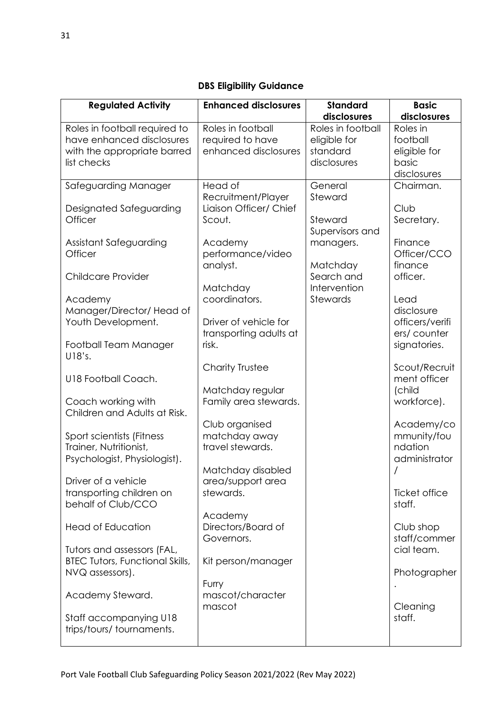#### **DBS Eligibility Guidance**

| <b>Regulated Activity</b>                                                                 | <b>Enhanced disclosures</b>                                   | <b>Standard</b>                               | <b>Basic</b>                                          |
|-------------------------------------------------------------------------------------------|---------------------------------------------------------------|-----------------------------------------------|-------------------------------------------------------|
|                                                                                           |                                                               | disclosures                                   | disclosures                                           |
| Roles in football required to<br>have enhanced disclosures<br>with the appropriate barred | Roles in football<br>required to have<br>enhanced disclosures | Roles in football<br>eligible for<br>standard | Roles in<br>football<br>eligible for                  |
| list checks                                                                               |                                                               | disclosures                                   | basic<br>disclosures                                  |
| Safeguarding Manager                                                                      | Head of<br>Recruitment/Player                                 | General<br>Steward                            | Chairman.                                             |
| Designated Safeguarding<br>Officer                                                        | Liaison Officer/ Chief<br>Scout.                              | Steward<br>Supervisors and                    | Club<br>Secretary.                                    |
| Assistant Safeguarding<br>Officer                                                         | Academy<br>performance/video                                  | managers.                                     | Finance<br>Officer/CCO                                |
| <b>Childcare Provider</b>                                                                 | analyst.                                                      | Matchday<br>Search and                        | finance<br>officer.                                   |
| Academy<br>Manager/Director/ Head of<br>Youth Development.                                | Matchday<br>coordinators.<br>Driver of vehicle for            | Intervention<br>Stewards                      | Lead<br>disclosure<br>officers/verifi                 |
| Football Team Manager<br>U18's.                                                           | transporting adults at<br>risk.                               |                                               | ers/counter<br>signatories.                           |
| U18 Football Coach.                                                                       | Charity Trustee<br>Matchday regular                           |                                               | Scout/Recruit<br>ment officer<br>(child               |
| Coach working with<br>Children and Adults at Risk.                                        | Family area stewards.                                         |                                               | workforce).                                           |
| Sport scientists (Fitness<br>Trainer, Nutritionist,<br>Psychologist, Physiologist).       | Club organised<br>matchday away<br>travel stewards.           |                                               | Academy/co<br>mmunity/fou<br>ndation<br>administrator |
| Driver of a vehicle<br>transporting children on                                           | Matchday disabled<br>area/support area<br>stewards.           |                                               | Ticket office                                         |
| behalf of Club/CCO<br><b>Head of Education</b>                                            | Academy<br>Directors/Board of                                 |                                               | staff.<br>Club shop                                   |
| Tutors and assessors (FAL,<br><b>BTEC Tutors, Functional Skills,</b>                      | Governors.<br>Kit person/manager                              |                                               | staff/commer<br>cial team.                            |
| NVQ assessors).<br>Academy Steward.                                                       | Furry<br>mascot/character                                     |                                               | Photographer                                          |
| Staff accompanying U18                                                                    | mascot                                                        |                                               | Cleaning<br>staff.                                    |
| trips/tours/tournaments.                                                                  |                                                               |                                               |                                                       |